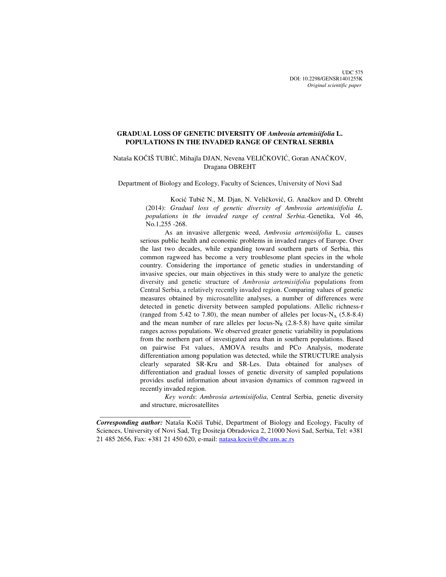UDC 575 DOI: 10.2298/GENSR1401255K *Original scientific paper*

# **GRADUAL LOSS OF GENETIC DIVERSITY OF** *Ambrosia artemisiifolia* **L. POPULATIONS IN THE INVADED RANGE OF CENTRAL SERBIA**

# Nataša KOČIŠ TUBIĆ, Mihajla DJAN, Nevena VELIČKOVIĆ, Goran ANAČKOV, Dragana OBREHT

Department of Biology and Ecology, Faculty of Sciences, University of Novi Sad

Kocić Tubič N., M. Djan, N. Veličković, G. Anačkov and D. Obreht (2014): *Gradual loss of genetic diversity of Ambrosia artemisiifolia L. populations in the invaded range of central Serbia.-*Genetika, Vol 46, No.1,255 -268.

As an invasive allergenic weed, *Ambrosia artemisiifolia* L. causes serious public health and economic problems in invaded ranges of Europe. Over the last two decades, while expanding toward southern parts of Serbia, this common ragweed has become a very troublesome plant species in the whole country. Considering the importance of genetic studies in understanding of invasive species, our main objectives in this study were to analyze the genetic diversity and genetic structure of *Ambrosia artemisiifolia* populations from Central Serbia, a relatively recently invaded region. Comparing values of genetic measures obtained by microsatellite analyses, a number of differences were detected in genetic diversity between sampled populations. Allelic richness-r (ranged from 5.42 to 7.80), the mean number of alleles per locus- $N_A$  (5.8-8.4) and the mean number of rare alleles per locus- $N_R$  (2.8-5.8) have quite similar ranges across populations. We observed greater genetic variability in populations from the northern part of investigated area than in southern populations. Based on pairwise Fst values, AMOVA results and PCo Analysis, moderate differentiation among population was detected, while the STRUCTURE analysis clearly separated SR-Kru and SR-Les. Data obtained for analyses of differentiation and gradual losses of genetic diversity of sampled populations provides useful information about invasion dynamics of common ragweed in recently invaded region.

*Key words*: *Ambrosia artemisiifolia*, Central Serbia, genetic diversity and structure, microsatellites

*Corresponding author:* Nataša Kočiš Tubić, Department of Biology and Ecology, Faculty of Sciences, University of Novi Sad, Trg Dositeja Obradovica 2, 21000 Novi Sad, Serbia, Tel: +381 21 485 2656, Fax: +381 21 450 620, e-mail: natasa.kocis@dbe.uns.ac.rs

 $\frac{1}{2}$  , and the set of the set of the set of the set of the set of the set of the set of the set of the set of the set of the set of the set of the set of the set of the set of the set of the set of the set of the set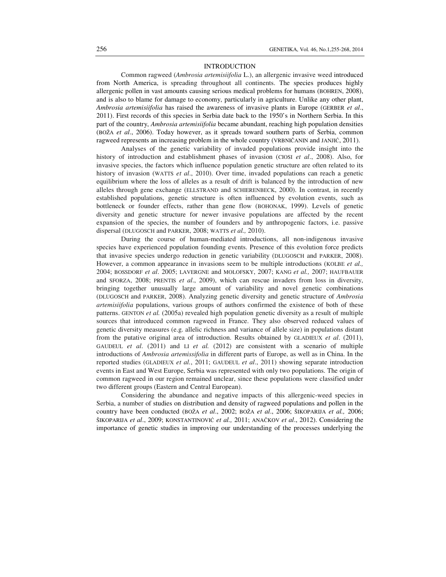### INTRODUCTION

Common ragweed (*Ambrosia artemisiifolia* L.), an allergenic invasive weed introduced from North America, is spreading throughout all continents. The species produces highly allergenic pollen in vast amounts causing serious medical problems for humans (BOHREN, 2008), and is also to blame for damage to economy, particularly in agriculture. Unlike any other plant, *Ambrosia artemisiifolia* has raised the awareness of invasive plants in Europe (GERBER *et al*., 2011). First records of this species in Serbia date back to the 1950's in Northern Serbia. In this part of the country, *Ambrosia artemisiifolia* became abundant, reaching high population densities (BOŽA *et al*., 2006). Today however, as it spreads toward southern parts of Serbia, common ragweed represents an increasing problem in the whole country (VRBNIČANIN and JANJIĆ, 2011).

Analyses of the genetic variability of invaded populations provide insight into the history of introduction and establishment phases of invasion (CIOSI *et al*., 2008). Also, for invasive species, the factors which influence population genetic structure are often related to its history of invasion (WATTS *et al*., 2010). Over time, invaded populations can reach a genetic equilibrium where the loss of alleles as a result of drift is balanced by the introduction of new alleles through gene exchange (ELLSTRAND and SCHIERENBECK, 2000). In contrast, in recently established populations, genetic structure is often influenced by evolution events, such as bottleneck or founder effects, rather than gene flow (BOHONAK, 1999). Levels of genetic diversity and genetic structure for newer invasive populations are affected by the recent expansion of the species, the number of founders and by anthropogenic factors, i.e. passive dispersal (DLUGOSCH and PARKER, 2008; WATTS *et al.,* 2010).

During the course of human-mediated introductions, all non-indigenous invasive species have experienced population founding events. Presence of this evolution force predicts that invasive species undergo reduction in genetic variability (DLUGOSCH and PARKER, 2008). However, a common appearance in invasions seem to be multiple introductions (KOLBE *et al.,* 2004; BOSSDORF *et al*. 2005; LAVERGNE and MOLOFSKY, 2007; KANG *et al.,* 2007; HAUFBAUER and SFORZA, 2008; PRENTIS *et al*., 2009), which can rescue invaders from loss in diversity, bringing together unusually large amount of variability and novel genetic combinations (DLUGOSCH and PARKER, 2008). Analyzing genetic diversity and genetic structure of *Ambrosia artemisiifolia* populations, various groups of authors confirmed the existence of both of these patterns. GENTON *et al.* (2005a) revealed high population genetic diversity as a result of multiple sources that introduced common ragweed in France. They also observed reduced values of genetic diversity measures (e.g. allelic richness and variance of allele size) in populations distant from the putative original area of introduction. Results obtained by GLADIEUX *et al*. (2011), GAUDEUL *et al*. (2011) and LI *et al.* (2012) are consistent with a scenario of multiple introductions of *Ambrosia artemissifolia* in different parts of Europe, as well as in China. In the reported studies (GLADIEUX *et al.*, 2011; GAUDEUL *et al*., 2011) showing separate introduction events in East and West Europe, Serbia was represented with only two populations. The origin of common ragweed in our region remained unclear, since these populations were classified under two different groups (Eastern and Central European).

Considering the abundance and negative impacts of this allergenic-weed species in Serbia, a number of studies on distribution and density of ragweed populations and pollen in the country have been conducted (BOŽA *et al*., 2002; BOŽA *et al*., 2006; ŠIKOPARIJA *et al.,* 2006; ŠIKOPARIJA *et al*., 2009; KONSTANTINOVIĆ *et al.,* 2011; ANAČKOV *et al*., 2012). Considering the importance of genetic studies in improving our understanding of the processes underlying the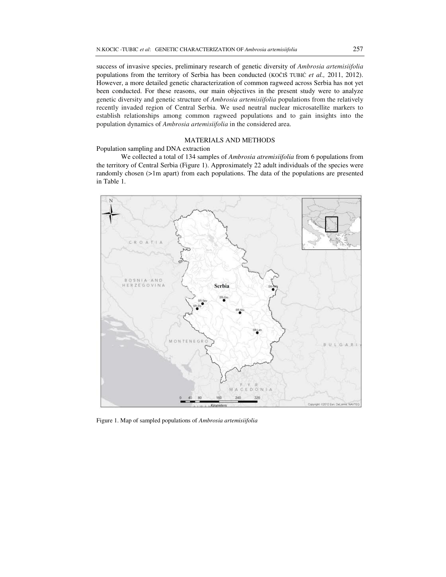success of invasive species, preliminary research of genetic diversity of *Ambrosia artemisiifolia*  populations from the territory of Serbia has been conducted (KOČIŠ TUBIĆ *et al.,* 2011, 2012). However, a more detailed genetic characterization of common ragweed across Serbia has not yet been conducted. For these reasons, our main objectives in the present study were to analyze genetic diversity and genetic structure of *Ambrosia artemisiifolia* populations from the relatively recently invaded region of Central Serbia. We used neutral nuclear microsatellite markers to establish relationships among common ragweed populations and to gain insights into the population dynamics of *Ambrosia artemisiifolia* in the considered area.

## MATERIALS AND METHODS

# Population sampling and DNA extraction

We collected a total of 134 samples of *Ambrosia atremisiifolia* from 6 populations from the territory of Central Serbia (Figure 1). Approximately 22 adult individuals of the species were randomly chosen (>1m apart) from each populations. The data of the populations are presented in Table 1.



Figure 1. Map of sampled populations of *Ambrosia artemisiifolia*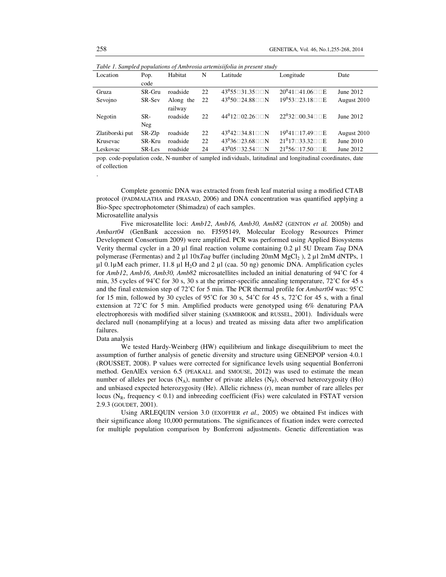| Table 1. Samplea populations of Ambrosia artemistifolia in present study |        |           |    |                                           |                                          |             |
|--------------------------------------------------------------------------|--------|-----------|----|-------------------------------------------|------------------------------------------|-------------|
| Location                                                                 | Pop.   | Habitat   | N  | Latitude                                  | Longitude                                | Date        |
|                                                                          | code   |           |    |                                           |                                          |             |
| Gruza                                                                    | SR-Gru | roadside  | 22 | $43^0$ 55 $\Box$ 31.35 $\Box$ N           | $20^041\Box 41.06 \Box \Box E$           | June 2012   |
| Sevojno                                                                  | SR-Sev | Along the | 22 | $43^0 50 \square 24.88 \square \square N$ | $19^0$ 53 $\Box$ 23.18 $\Box$ E          | August 2010 |
|                                                                          |        | railway   |    |                                           |                                          |             |
| Negotin                                                                  | SR-    | roadside  | 22 | $44^012\square02.26\square\square N$      | $22^032\Box 00.34 \Box \Box E$           | June 2012   |
|                                                                          | Neg    |           |    |                                           |                                          |             |
| Zlatiborski put                                                          | SR-Zlp | roadside  | 22 | $43^042 \square 34.81 \square \square N$  | $19^041 \square 17.49 \square \square E$ | August 2010 |
| Krusevac                                                                 | SR-Kru | roadside  | 22 | $43^036 \square 23.68 \square \square N$  | $21^0$ 17 $\Box$ 33.32 $\Box$ DE         | June 2010   |
| Leskovac                                                                 | SR-Les | roadside  | 24 | $43^005 \square 32.54 \square \square N$  | $21^{\circ}56\Box17.50\Box\Box E$        | June 2012   |

*Table 1. Sampled populations of Ambrosia artemisiifolia in present study* 

pop. code-population code, N-number of sampled individuals, latitudinal and longitudinal coordinates, date of collection

Complete genomic DNA was extracted from fresh leaf material using a modified CTAB protocol (PADMALATHA and PRASAD, 2006) and DNA concentration was quantified applying a Bio-Spec spectrophotometer (Shimadzu) of each samples. Microsatellite analysis

Five microsatellite loci: *Amb12*, *Amb16, Amb30, Amb82* (GENTON *et al.* 2005b) and *Ambart04* (GenBank accession no. FJ595149, Molecular Ecology Resources Primer Development Consortium 2009) were amplified. PCR was performed using Applied Biosystems Verity thermal cycler in a 20 µl final reaction volume containing 0.2 µl 5U Dream *Taq* DNA polymerase (Fermentas) and 2 µl 10x*Taq* buffer (including 20mM MgCl2 ), 2 µl 2mM dNTPs, 1  $\mu$ 1.0.1 $\mu$ M each primer, 11.8  $\mu$ I H<sub>2</sub>O and 2  $\mu$ I (caa. 50 ng) genomic DNA. Amplification cycles for *Amb12*, *Amb16, Amb30, Amb82* microsatellites included an initial denaturing of 94˚C for 4 min, 35 cycles of 94°C for 30 s, 30 s at the primer-specific annealing temperature, 72°C for 45 s and the final extension step of 72˚C for 5 min. The PCR thermal profile for *Ambart04* was: 95˚C for 15 min, followed by 30 cycles of 95°C for 30 s,  $54^{\circ}$ C for 45 s,  $72^{\circ}$ C for 45 s, with a final extension at 72˚C for 5 min. Amplified products were genotyped using 6% denaturing PAA electrophoresis with modified silver staining (SAMBROOK and RUSSEL, 2001). Individuals were declared null (nonamplifying at a locus) and treated as missing data after two amplification failures.

#### Data analysis

We tested Hardy-Weinberg (HW) equilibrium and linkage disequilibrium to meet the assumption of further analysis of genetic diversity and structure using GENEPOP version 4.0.1 (ROUSSET, 2008). P values were corrected for significance levels using sequential Bonferroni method. GenAlEx version 6.5 (PEAKALL and SMOUSE, 2012) was used to estimate the mean number of alleles per locus  $(N_A)$ , number of private alleles  $(N_P)$ , observed heterozygosity (Ho) and unbiased expected heterozygosity (He). Allelic richness (r), mean number of rare alleles per locus ( $N_R$ , frequency < 0.1) and inbreeding coefficient (Fis) were calculated in FSTAT version 2.9.3 (GOUDET, 2001).

Using ARLEQUIN version 3.0 (EXOFFIER *et al.,* 2005) we obtained Fst indices with their significance along 10,000 permutations. The significances of fixation index were corrected for multiple population comparison by Bonferroni adjustments. Genetic differentiation was

.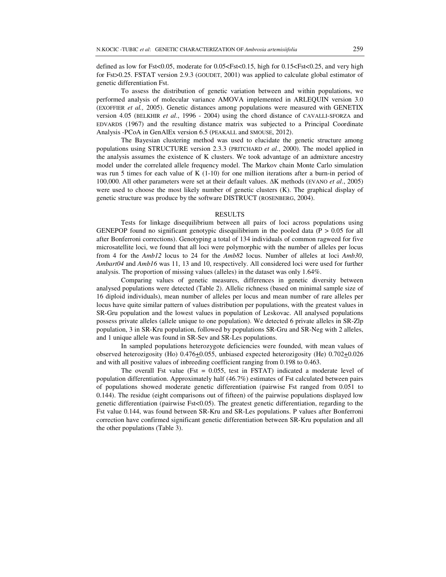defined as low for Fst<0.05, moderate for 0.05<Fst<0.15, high for 0.15<Fst<0.25, and very high for Fst>0.25. FSTAT version 2.9.3 (GOUDET, 2001) was applied to calculate global estimator of genetic differentiation Fst.

To assess the distribution of genetic variation between and within populations, we performed analysis of molecular variance AMOVA implemented in ARLEQUIN version 3.0 (EXOFFIER *et al.,* 2005). Genetic distances among populations were measured with GENETIX version 4.05 (BELKHIR *et al*., 1996 - 2004) using the chord distance of CAVALLI-SFORZA and EDVARDS (1967) and the resulting distance matrix was subjected to a Principal Coordinate Analysis -PCoA in GenAlEx version 6.5 (PEAKALL and SMOUSE, 2012).

The Bayesian clustering method was used to elucidate the genetic structure among populations using STRUCTURE version 2.3.3 (PRITCHARD *et al*., 2000). The model applied in the analysis assumes the existence of K clusters. We took advantage of an admixture ancestry model under the correlated allele frequency model. The Markov chain Monte Carlo simulation was run 5 times for each value of K (1-10) for one million iterations after a burn-in period of 100,000. All other parameters were set at their default values. ∆K methods (EVANO *et al*., 2005) were used to choose the most likely number of genetic clusters (K). The graphical display of genetic structure was produce by the software DISTRUCT (ROSENBERG, 2004).

#### **RESULTS**

Tests for linkage disequilibrium between all pairs of loci across populations using GENEPOP found no significant genotypic disequilibrium in the pooled data ( $P > 0.05$  for all after Bonferroni corrections). Genotyping a total of 134 individuals of common ragweed for five microsatellite loci, we found that all loci were polymorphic with the number of alleles per locus from 4 for the *Amb12* locus to 24 for the *Amb82* locus. Number of alleles at loci *Amb30*, *Ambart04* and *Amb16* was 11, 13 and 10, respectively. All considered loci were used for further analysis. The proportion of missing values (alleles) in the dataset was only 1.64%.

Comparing values of genetic measures, differences in genetic diversity between analysed populations were detected (Table 2). Allelic richness (based on minimal sample size of 16 diploid individuals), mean number of alleles per locus and mean number of rare alleles per locus have quite similar pattern of values distribution per populations, with the greatest values in SR-Gru population and the lowest values in population of Leskovac. All analysed populations possess private alleles (allele unique to one population). We detected 6 private alleles in SR-Zlp population, 3 in SR-Kru population, followed by populations SR-Gru and SR-Neg with 2 alleles, and 1 unique allele was found in SR-Sev and SR-Les populations.

In sampled populations heterozygote deficiencies were founded, with mean values of observed heterozigosity (Ho) 0.476+0.055, unbiased expected heterozigosity (He) 0.702+0.026 and with all positive values of inbreeding coefficient ranging from 0.198 to 0.463.

The overall Fst value (Fst  $= 0.055$ , test in FSTAT) indicated a moderate level of population differentiation. Approximately half (46.7%) estimates of Fst calculated between pairs of populations showed moderate genetic differentiation (pairwise Fst ranged from 0.051 to 0.144). The residue (eight comparisons out of fifteen) of the pairwise populations displayed low genetic differentiation (pairwise Fst<0.05). The greatest genetic differentiation, regarding to the Fst value 0.144, was found between SR-Kru and SR-Les populations. P values after Bonferroni correction have confirmed significant genetic differentiation between SR-Kru population and all the other populations (Table 3).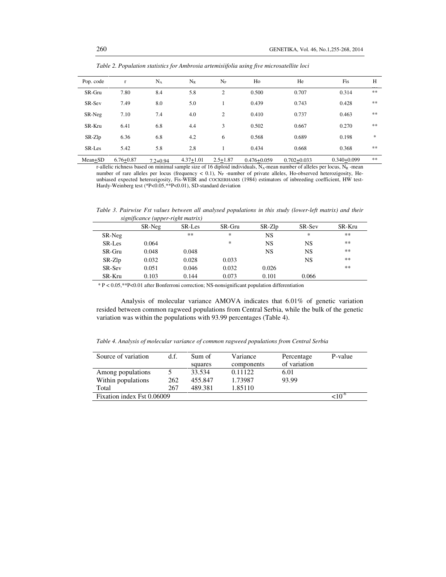| Pop. code | $\mathbf{r}$  | $N_A$        | $N_R$         | $N_{P}$        | Ho              | He              | Fis             | Н  |
|-----------|---------------|--------------|---------------|----------------|-----------------|-----------------|-----------------|----|
| SR-Gru    | 7.80          | 8.4          | 5.8           | $\overline{c}$ | 0.500           | 0.707           | 0.314           | ** |
| SR-Sev    | 7.49          | 8.0          | 5.0           |                | 0.439           | 0.743           | 0.428           | ** |
| SR-Neg    | 7.10          | 7.4          | 4.0           | 2              | 0.410           | 0.737           | 0.463           | ** |
| SR-Kru    | 6.41          | 6.8          | 4.4           | 3              | 0.502           | 0.667           | 0.270           | ** |
| SR-Zlp    | 6.36          | 6.8          | 4.2           | 6              | 0.568           | 0.689           | 0.198           | *  |
| SR-Les    | 5.42          | 5.8          | 2.8           |                | 0.434           | 0.668           | 0.368           | ** |
| Mean+SD   | $6.76 + 0.87$ | $7.2 + 0.94$ | $4.37 + 1.01$ | $2.5 + 1.87$   | $0.476 + 0.059$ | $0.702 + 0.033$ | $0.340 + 0.099$ | ** |

*Table 2. Population statistics for Ambrosia artemisiifolia using five microsatellite loci* 

r-allelic richness based on minimal sample size of 16 diploid individuals,  $N_A$ -mean number of alleles per locus,  $N_R$ -mean number of rare alleles per locus (frequency < 0.1),  $N_P$  -number of private alleles, Ho-observed heterozigosity, Heunbiased expected heterozigosity, Fis-WEIR and COCKERHAMS (1984) estimators of inbreeding coefficient, HW test-Hardy-Weinberg test (\*P<0.05,\*\*P<0.01), SD-standard deviation

*Table 3. Pairwise Fst values between all analysed populations in this study (lower-left matrix) and their significance (upper-right matrix)* 

| $\sim$ $\sim$ | SR-Neg | SR-Les | SR-Gru | SR-Zlp | SR-Sev | SR-Kru |
|---------------|--------|--------|--------|--------|--------|--------|
| SR-Neg        |        | $***$  | *      | NS     | *      | **     |
| SR-Les        | 0.064  |        | *      | NS     | NS     | **     |
| SR-Gru        | 0.048  | 0.048  |        | NS     | NS     | **     |
| SR-Zlp        | 0.032  | 0.028  | 0.033  |        | NS     | **     |
| SR-Sev        | 0.051  | 0.046  | 0.032  | 0.026  |        | **     |
| SR-Kru        | 0.103  | 0.144  | 0.073  | 0.101  | 0.066  |        |

\* P < 0.05,\*\*P<0.01 after Bonferroni correction; NS-nonsignificant population differentiation

Analysis of molecular variance AMOVA indicates that 6.01% of genetic variation resided between common ragweed populations from Central Serbia, while the bulk of the genetic variation was within the populations with 93.99 percentages (Table 4).

*Table 4. Analysis of molecular variance of common ragweed populations from Central Serbia* 

| Source of variation        | d.f.        | Sum of<br>squares | Variance<br>components | Percentage<br>of variation | P-value |
|----------------------------|-------------|-------------------|------------------------|----------------------------|---------|
| Among populations          |             | 33.534            | 0.11122                | 6.01                       |         |
| Within populations         | 262         | 455.847           | 1.73987                | 93.99                      |         |
| Total                      | 267         | 489.381           | 1.85110                |                            |         |
| Fixation index Fst 0.06009 | $< 10^{-6}$ |                   |                        |                            |         |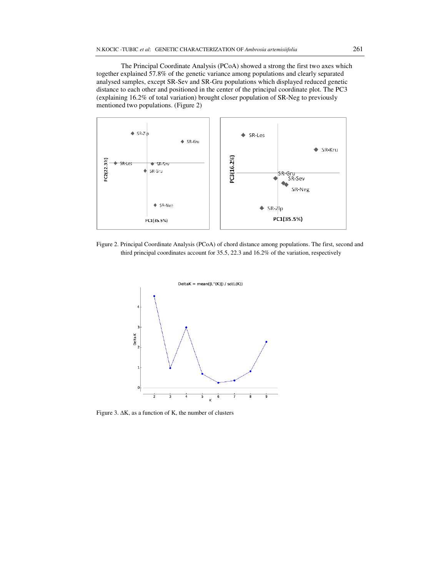The Principal Coordinate Analysis (PCoA) showed a strong the first two axes which together explained 57.8% of the genetic variance among populations and clearly separated analysed samples, except SR-Sev and SR-Gru populations which displayed reduced genetic distance to each other and positioned in the center of the principal coordinate plot. The PC3 (explaining 16.2% of total variation) brought closer population of SR-Neg to previously mentioned two populations. (Figure 2)



Figure 2. Principal Coordinate Analysis (PCoA) of chord distance among populations. The first, second and third principal coordinates account for 35.5, 22.3 and 16.2% of the variation, respectively



Figure 3. ∆K, as a function of K, the number of clusters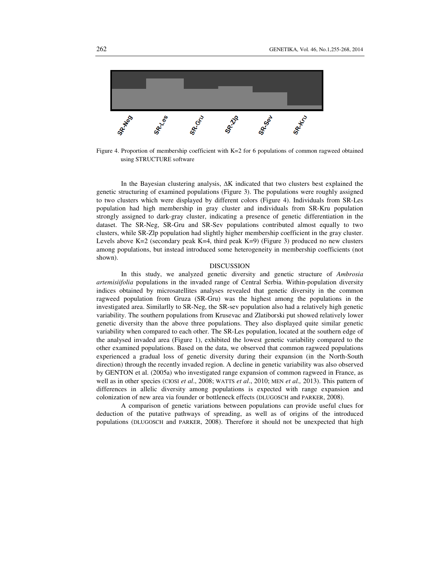

Figure 4. Proportion of membership coefficient with K=2 for 6 populations of common ragweed obtained using STRUCTURE software

In the Bayesian clustering analysis, ∆K indicated that two clusters best explained the genetic structuring of examined populations (Figure 3). The populations were roughly assigned to two clusters which were displayed by different colors (Figure 4). Individuals from SR-Les population had high membership in gray cluster and individuals from SR-Kru population strongly assigned to dark-gray cluster, indicating a presence of genetic differentiation in the dataset. The SR-Neg, SR-Gru and SR-Sev populations contributed almost equally to two clusters, while SR-Zlp population had slightly higher membership coefficient in the gray cluster. Levels above  $K=2$  (secondary peak  $K=4$ , third peak  $K=9$ ) (Figure 3) produced no new clusters among populations, but instead introduced some heterogeneity in membership coefficients (not shown).

### DISCUSSION

In this study, we analyzed genetic diversity and genetic structure of *Ambrosia artemisiifolia* populations in the invaded range of Central Serbia. Within-population diversity indices obtained by microsatellites analyses revealed that genetic diversity in the common ragweed population from Gruza (SR-Gru) was the highest among the populations in the investigated area. Similarlly to SR-Neg, the SR-sev population also had a relatively high genetic variability. The southern populations from Krusevac and Zlatiborski put showed relatively lower genetic diversity than the above three populations. They also displayed quite similar genetic variability when compared to each other. The SR-Les population, located at the southern edge of the analysed invaded area (Figure 1), exhibited the lowest genetic variability compared to the other examined populations. Based on the data, we observed that common ragweed populations experienced a gradual loss of genetic diversity during their expansion (in the North-South direction) through the recently invaded region. A decline in genetic variability was also observed by GENTON et al. (2005a) who investigated range expansion of common ragweed in France, as well as in other species (CIOSI *et al*., 2008; WATTS *et al*., 2010; MEN *et al.,* 2013). This pattern of differences in allelic diversity among populations is expected with range expansion and colonization of new area via founder or bottleneck effects (DLUGOSCH and PARKER, 2008).

A comparison of genetic variations between populations can provide useful clues for deduction of the putative pathways of spreading, as well as of origins of the introduced populations (DLUGOSCH and PARKER, 2008). Therefore it should not be unexpected that high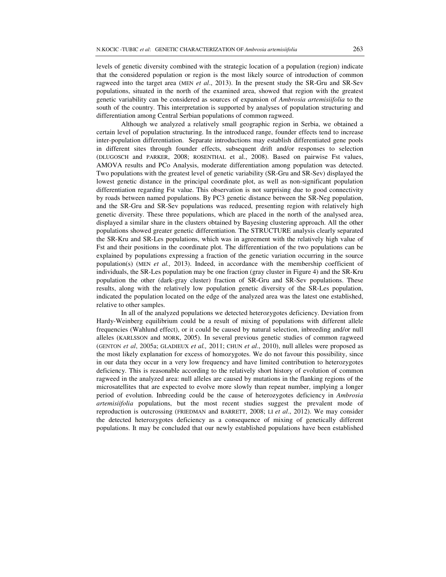differentiation among Central Serbian populations of common ragweed. Although we analyzed a relatively small geographic region in Serbia, we obtained a certain level of population structuring. In the introduced range, founder effects tend to increase inter-population differentiation. Separate introductions may establish differentiated gene pools in different sites through founder effects, subsequent drift and/or responses to selection (DLUGOSCH and PARKER, 2008; ROSENTHAL et al., 2008). Based on pairwise Fst values, AMOVA results and PCo Analysis, moderate differentiation among population was detected. Two populations with the greatest level of genetic variability (SR-Gru and SR-Sev) displayed the lowest genetic distance in the principal coordinate plot, as well as non-significant population differentiation regarding Fst value. This observation is not surprising due to good connectivity by roads between named populations. By PC3 genetic distance between the SR-Neg population, and the SR-Gru and SR-Sev populations was reduced, presenting region with relatively high genetic diversity. These three populations, which are placed in the north of the analysed area, displayed a similar share in the clusters obtained by Bayesing clustering approach. All the other populations showed greater genetic differentiation. The STRUCTURE analysis clearly separated the SR-Kru and SR-Les populations, which was in agreement with the relatively high value of Fst and their positions in the coordinate plot. The differentiation of the two populations can be explained by populations expressing a fraction of the genetic variation occurring in the source population(s) (MEN *et al.,* 2013). Indeed, in accordance with the membership coefficient of individuals, the SR-Les population may be one fraction (gray cluster in Figure 4) and the SR-Kru population the other (dark-gray cluster) fraction of SR-Gru and SR-Sev populations. These results, along with the relatively low population genetic diversity of the SR-Les population, indicated the population located on the edge of the analyzed area was the latest one established, relative to other samples.

 In all of the analyzed populations we detected heterozygotes deficiency. Deviation from Hardy-Weinberg equilibrium could be a result of mixing of populations with different allele frequencies (Wahlund effect), or it could be caused by natural selection, inbreeding and/or null alleles (KARLSSON and MORK, 2005). In several previous genetic studies of common ragweed (GENTON *et al*, 2005a; GLADIEUX *et al.,* 2011; CHUN *et al*., 2010), null alleles were proposed as the most likely explanation for excess of homozygotes. We do not favour this possibility, since in our data they occur in a very low frequency and have limited contribution to heterozygotes deficiency. This is reasonable according to the relatively short history of evolution of common ragweed in the analyzed area: null alleles are caused by mutations in the flanking regions of the microsatellites that are expected to evolve more slowly than repeat number, implying a longer period of evolution. Inbreeding could be the cause of heterozygotes deficiency in *Ambrosia artemisiifolia* populations, but the most recent studies suggest the prevalent mode of reproduction is outcrossing (FRIEDMAN and BARRETT, 2008; LI *et al*., 2012). We may consider the detected heterozygotes deficiency as a consequence of mixing of genetically different populations. It may be concluded that our newly established populations have been established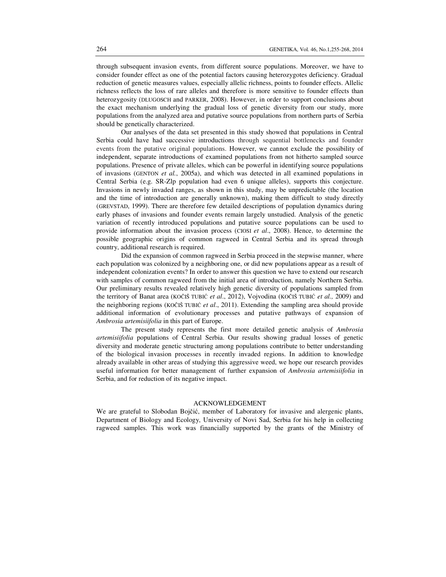through subsequent invasion events, from different source populations. Moreover, we have to consider founder effect as one of the potential factors causing heterozygotes deficiency. Gradual reduction of genetic measures values, especially allelic richness, points to founder effects. Allelic richness reflects the loss of rare alleles and therefore is more sensitive to founder effects than heterozygosity (DLUGOSCH and PARKER, 2008). However, in order to support conclusions about the exact mechanism underlying the gradual loss of genetic diversity from our study, more populations from the analyzed area and putative source populations from northern parts of Serbia should be genetically characterized.

Our analyses of the data set presented in this study showed that populations in Central Serbia could have had successive introductions through sequential bottlenecks and founder events from the putative original populations. However, we cannot exclude the possibility of independent, separate introductions of examined populations from not hitherto sampled source populations. Presence of private alleles, which can be powerful in identifying source populations of invasions (GENTON *et al.*, 2005a), and which was detected in all examined populations in Central Serbia (e.g. SR-Zlp population had even 6 unique alleles), supports this conjecture. Invasions in newly invaded ranges, as shown in this study, may be unpredictable (the location and the time of introduction are generally unknown), making them difficult to study directly (GREVSTAD, 1999). There are therefore few detailed descriptions of population dynamics during early phases of invasions and founder events remain largely unstudied. Analysis of the genetic variation of recently introduced populations and putative source populations can be used to provide information about the invasion process (CIOSI *et al*., 2008). Hence, to determine the possible geographic origins of common ragweed in Central Serbia and its spread through country, additional research is required.

Did the expansion of common ragweed in Serbia proceed in the stepwise manner, where each population was colonized by a neighboring one, or did new populations appear as a result of independent colonization events? In order to answer this question we have to extend our research with samples of common ragweed from the initial area of introduction, namely Northern Serbia. Our preliminary results revealed relatively high genetic diversity of populations sampled from the territory of Banat area (KOČIŠ TUBIĆ *et al*., 2012), Vojvodina (KOČIŠ TUBIĆ *et al.,* 2009) and the neighboring regions (KOČIŠ TUBIĆ *et al*., 2011). Extending the sampling area should provide additional information of evolutionary processes and putative pathways of expansion of *Ambrosia artemisiifolia* in this part of Europe.

The present study represents the first more detailed genetic analysis of *Ambrosia artemisiifolia* populations of Central Serbia. Our results showing gradual losses of genetic diversity and moderate genetic structuring among populations contribute to better understanding of the biological invasion processes in recently invaded regions. In addition to knowledge already available in other areas of studying this aggressive weed, we hope our research provides useful information for better management of further expansion of *Ambrosia artemisiifolia* in Serbia, and for reduction of its negative impact.

#### ACKNOWLEDGEMENT

We are grateful to Slobodan Bojčić, member of Laboratory for invasive and alergenic plants, Department of Biology and Ecology, University of Novi Sad, Serbia for his help in collecting ragweed samples. This work was financially supported by the grants of the Ministry of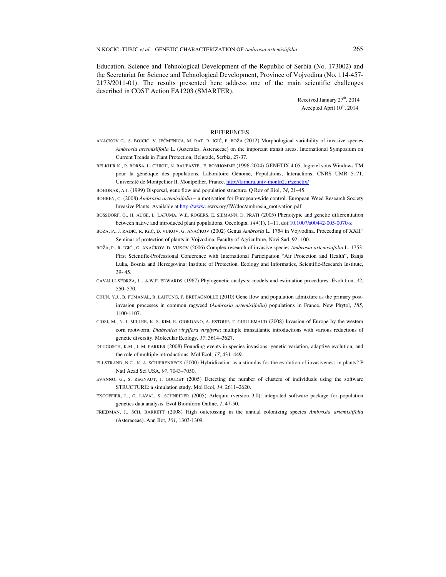Education, Science and Tehnological Development of the Republic of Serbia (No. 173002) and the Secretariat for Science and Tehnological Development, Province of Vojvodina (No. 114-457- 2173/2011-01). The results presented here address one of the main scientific challenges described in COST Action FA1203 (SMARTER).

> Received January 27<sup>th</sup>, 2014 Accepted April  $10^{th}$ , 2014

### REFERENCES

- ANAČKOV G., S. BOJČIĆ, V. JEČMENICA, M. RAT, R. IGIĆ, P. BOŽA (2012) Morphological variability of invasive species *Ambrosia artemisiifolia* L. (Asterales, Asteraceae) on the important transit areas. International Symposium on Current Trends in Plant Protection, Belgrade, Serbia, 27-37.
- BELKHIR K., P. BORSA, L. CHIKHI, N. RAUFASTE, F. BONHOMME (1996-2004) GENETIX 4.05, logiciel sous Windows TM pour la génétique des populations. Laboratoire Génome, Populations, Interactions, CNRS UMR 5171, Université de Montpellier II, Montpellier, France. http://kimura.univ-montp2.fr/genetix/
- BOHONAK, A.J. (1999) Dispersal, gene flow and population structure. Q Rev of Biol, *74*, 21–45.
- BOHREN, C. (2008) *Ambrosia artemisiifolia* a motivation for European-wide control. European Weed Research Society Invasive Plants, Available at http://www. ewrs.org/IW/doc/ambrosia\_motivation.pdf.
- BOSSDORF, O., H. AUGE, L. LAFUMA, W.E. ROGERS, E. SIEMANN, D. PRATI (2005) Phenotypic and genetic differentiation between native and introduced plant populations. Oecologia, *144*(1), 1–11, doi:10.1007/s00442-005-0070-z
- BOŽA, P., J. RADIĆ, R. IGIĆ, D. VUKOV, G. ANAČKOV (2002) Genus *Ambrosia* L. 1754 in Vojvodina. Proceeding of XXIIth Seminar of protection of plants in Vojvodina, Faculty of Agriculture, Novi Sad, 92- 100.
- BOŽA, P., R. IGIĆ , G. ANAČKOV, D. VUKOV (2006) Complex research of invasive species *Ambrosia artemisiifolia* L. 1753. First Scientific-Professional Conference with International Participation "Air Protection and Health", Banja Luka, Bosnia and Herzegovina: Institute of Protection, Ecology and Informatics, Scientific-Research Institute, 39- 45.
- CAVALLI-SFORZA, L., A.W.F. EDWARDS (1967) Phylogenetic analysis: models and estimation procedures. Evolution, *32*, 550–570.
- CHUN, Y.J., B. FUMANAL, B. LAITUNG, F. BRETAGNOLLE (2010) Gene flow and population admixture as the primary postinvasion processes in common ragweed (*Ambrosia artemisiifolia*) populations in France. New Phytol, *185*, 1100-1107.
- CIOSI, M., N. J. MILLER, K. S. KIM, R. GIORDANO, A. ESTOUP, T. GUILLEMAUD (2008) Invasion of Europe by the western corn rootworm, *Diabrotica virgifera virgifera*: multiple transatlantic introductions with various reductions of genetic diversity. Molecular Ecology, *17*, 3614–3627.
- DLUGOSCH, K.M., I. M. PARKER (2008) Founding events in species invasions: genetic variation, adaptive evolution, and the role of multiple introductions. Mol Ecol, *17*, 431–449.
- ELLSTRAND, N.C., K. A. SCHIERENBECK (2000) Hybridization as a stimulus for the evolution of invasiveness in plants? P Natl Acad Sci USA, *97*, 7043–7050.
- EVANNO, G., S. REGNAUT, J. GOUDET (2005) Detecting the number of clusters of individuals using the software STRUCTURE: a simulation study. Mol Ecol, *14*, 2611–2620.
- EXCOFFIER, L., G. LAVAL, S. SCHNEIDER (2005) Arlequin (version 3.0): integrated software package for population genetics data analysis. Evol Bioinform Online, *1*, 47-50.
- FRIEDMAN, J., SCH. BARRETT (2008) High outcrossing in the annual colonizing species *Ambrosia artemisiifolia* (Asteraceae). Ann Bot, *101*, 1303-1309.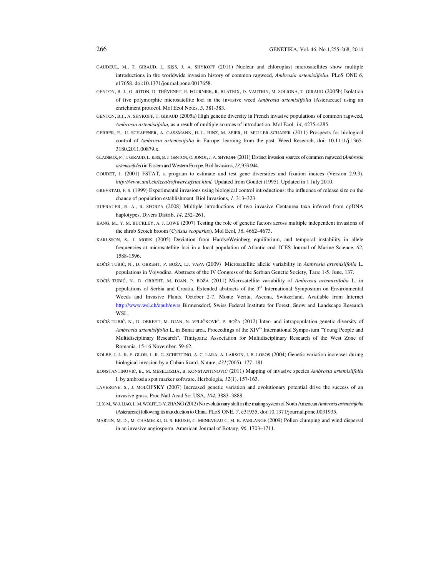- GAUDEUL, M., T. GIRAUD, L. KISS, J. A. SHYKOFF (2011) Nuclear and chloroplast microsatellites show multiple introductions in the worldwide invasion history of common ragweed, *Ambrosia artemisiifolia*. PLoS ONE *6*, e17658. doi:10.1371/journal.pone.0017658.
- GENTON, B. J., O. JOTON, D. THÉVENET, E. FOURNIER, R. BLATRIX, D. VAUTRIN, M. SOLIGNA, T. GIRAUD (2005b) Isolation of five polymorphic microsatellite loci in the invasive weed *Ambrosia artemisiifolia* (Asteraceae) using an enrichment protocol. Mol Ecol Notes, *5*, 381-383.
- GENTON, B.J., A. SHYKOFF, T. GIRAUD (2005a) High genetic diversity in French invasive populations of common ragweed, *Ambrosia artemisiifolia,* as a result of multiple sources of introduction. Mol Ecol, *14*, 4275-4285.
- GERBER, E., U. SCHAFFNER, A. GASSMANN, H. L. HINZ, M. SEIER, H. MULLER-SCHARER (2011) Prospects for biological control of *Ambrosia artemisiifolia* in Europe: learning from the past. Weed Research, doi: 10.1111/j.1365- 3180.2011.00879.x.
- GLADIEUX, P., T. GIRAUD, L. KISS, B. J. GENTON, O. JONOT, J. A. SHYKOFF (2011) Distinct invasion sources of common ragweed (*Ambrosia artemisiifolia*) in Eastern and Western Europe. Biol Invasions, *13*, 933-944.
- GOUDET, J. (2001) FSTAT, a program to estimate and test gene diversities and fixation indices (Version 2.9.3). *http://www.unil.ch/izea/softwares/fstat.html.* Updated from Goudet (1995). Updated in 1 July 2010.
- GREVSTAD, F. S. (1999) Experimental invasions using biological control introductions: the influence of release size on the chance of population establishment. Biol Invasions, *1*, 313–323.
- HUFBAUER, R. A., R. SFORZA (2008) Multiple introductions of two invasive Centaurea taxa inferred from cpDNA haplotypes. Divers Distrib, *14*, 252–261.
- KANG, M., Y. M. BUCKLEY, A. J. LOWE (2007) Testing the role of genetic factors across multiple independent invasions of the shrub Scotch broom (*Cytisus scoparius*). Mol Ecol, *16*, 4662–4673.
- KARLSSON, S., J. MORK (2005) Deviation from HardyeWeinberg equilibrium, and temporal instability in allele frequencies at microsatellite loci in a local population of Atlantic cod. ICES Journal of Marine Science, *62*, 1588-1596.
- KOČIŠ TUBIĆ, N., D. OBREHT, P. BOŽA, LJ. VAPA (2009) Microsatellite allelic variability in *Ambrosia artemisiifolia* L. populations in Vojvodina*.* Abstracts of the IV Congress of the Serbian Genetic Society, Tara: 1-5. June, 137.
- KOČIŠ TUBIĆ, N., D. OBREHT, M. DJAN, P. BOŽA (2011) Microsatellite variability of *Ambrosia artemisiifolia* L. in populations of Serbia and Croatia. Extended abstracts of the 3<sup>rd</sup> International Symposium on Environmental Weeds and Invasive Plants. October 2-7. Monte Verita, Ascona, Switzerland. Available from Internet http://www.wsl.ch/epub/ewrs Birmensdorf, Swiss Federal Institute for Forest, Snow and Landscape Research WSL.
- KOČIŠ TUBIĆ, N., D. OBREHT, M. DJAN, N. VELIČKOVIĆ, P. BOŽA (2012) Inter- and intrapopulation genetic diversity of *Ambrosia artemisiifolia* L. in Banat area. Proceedings of the XIV<sup>th</sup> International Symposium "Young People and Multidisciplinary Research", Timişoara: Association for Multidisciplinary Research of the West Zone of Romania. 15-16 November. 59-62.
- KOLBE, J. J., R. E. GLOR, L. R. G. SCHETTINO, A. C. LARA, A. LARSON, J. B. LOSOS (2004) Genetic variation increases during biological invasion by a Cuban lizard. Nature, *431*(7005), 177–181.
- KONSTANTINOVIĆ, B., M. MESELDZIJA, B. KONSTANTINOVIĆ (2011) Mapping of invasive species *Ambrosia artemisiifolia*  l. by ambrosia spot marker software. Herbologia, *12*(1), 157-163.
- LAVERGNE, S., J. MOLOFSKY (2007) Increased genetic variation and evolutionary potential drive the success of an invasive grass. Proc Natl Acad Sci USA, *104*, 3883–3888.
- LI, X-M., W-J. LIAO, L. M. WOLFE, D-Y. ZHANG (2012) No evolutionary shift in the mating system of North American *Ambrosia artemisiifolia* (Asteraceae) following its introduction to China. PLoS ONE, *7*, e31935, doi:10.1371/journal.pone.0031935.
- MARTIN, M. D., M. CHAMECKI, G. S. BRUSH, C. MENEVEAU C, M. B. PARLANGE (2009) Pollen clumping and wind dispersal in an invasive angiosperm. American Journal of Botany, *96*, 1703–1711.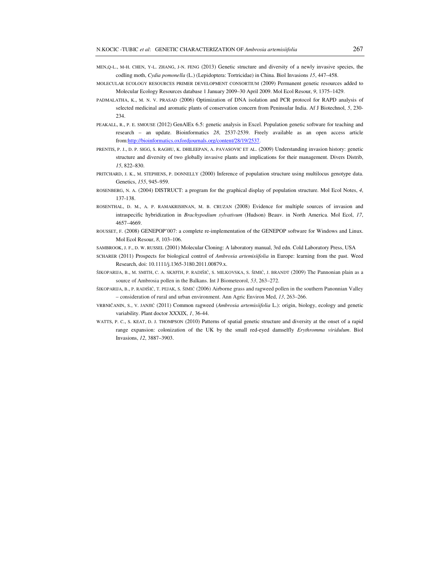- MEN,Q-L., M-H. CHEN, Y-L. ZHANG, J-N. FENG (2013) Genetic structure and diversity of a newly invasive species, the codling moth, *Cydia pomonella* (L.) (Lepidoptera: Tortricidae) in China. Biol Invasions *15*, 447–458.
- MOLECULAR ECOLOGY RESOURCES PRIMER DEVELOPMENT CONSORTIUM (2009) Permanent genetic resources added to Molecular Ecology Resources database 1 January 2009–30 April 2009. Mol Ecol Resour, *9*, 1375–1429.
- PADMALATHA, K., M. N. V. PRASAD (2006) Optimization of DNA isolation and PCR protocol for RAPD analysis of selected medicinal and aromatic plants of conservation concern from Peninsular India. Af J Biotechnol, *5*, 230- 234.
- PEAKALL, R., P. E. SMOUSE (2012) GenAlEx 6.5: genetic analysis in Excel. Population genetic software for teaching and research – an update. Bioinformatics *28*, 2537-2539. Freely available as an open access article from:http://bioinformatics.oxfordjournals.org/content/28/19/2537.
- PRENTIS, P. J., D. P. SIGG, S. RAGHU, K. DHILEEPAN, A. PAVASOVIC ET AL. (2009) Understanding invasion history: genetic structure and diversity of two globally invasive plants and implications for their management. Divers Distrib, *15*, 822–830.
- PRITCHARD, J. K., M. STEPHENS, P. DONNELLY (2000) Inference of population structure using multilocus genotype data. Genetics, *155*, 945–959.
- ROSENBERG, N. A. (2004) DISTRUCT: a program for the graphical display of population structure. Mol Ecol Notes, *4*, 137-138.
- ROSENTHAL, D. M., A. P. RAMAKRISHNAN, M. B. CRUZAN (2008) Evidence for multiple sources of invasion and intraspecific hybridization in *Brachypodium sylvativum* (Hudson) Beauv. in North America. Mol Ecol, *17*, 4657–4669.
- ROUSSET, F. (2008) GENEPOP'007: a complete re-implementation of the GENEPOP software for Windows and Linux. Mol Ecol Resour, *8*, 103–106.
- SAMBROOK, J. F., D. W. RUSSEL (2001) Molecular Cloning: A laboratory manual, 3rd edn. Cold Laboratory Press, USA
- SCHARER (2011) Prospects for biological control of *Ambrosia artemisiifolia* in Europe: learning from the past. Weed Research, doi: 10.1111/j.1365-3180.2011.00879.x.
- ŠIKOPARIJA, B., M. SMITH, C. A. SKJØTH, P. RADIŠIĆ, S. MILKOVSKA, S. ŠIMIĆ, J. BRANDT (2009) The Pannonian plain as a source of Ambrosia pollen in the Balkans. Int J Biometeorol, *53*, 263–272.
- ŠIKOPARIJA, B., P. RADIŠIĆ, T. PEJAK, S. ŠIMIĆ (2006) Airborne grass and ragweed pollen in the southern Panonnian Valley – consideration of rural and urban environment. Ann Agric Environ Med, *13*, 263–266.
- VRBNIČANIN, S., V. JANJIĆ (2011) Common ragweed (*Ambrosia artemisiifolia* L.): origin, biology, ecology and genetic variability. Plant doctor XXXIX, *1*, 36-44.
- WATTS, P. C., S. KEAT, D. J. THOMPSON (2010) Patterns of spatial genetic structure and diversity at the onset of a rapid range expansion: colonization of the UK by the small red-eyed damselfly *Erythromma viridulum*. Biol Invasions, *12*, 3887–3903.